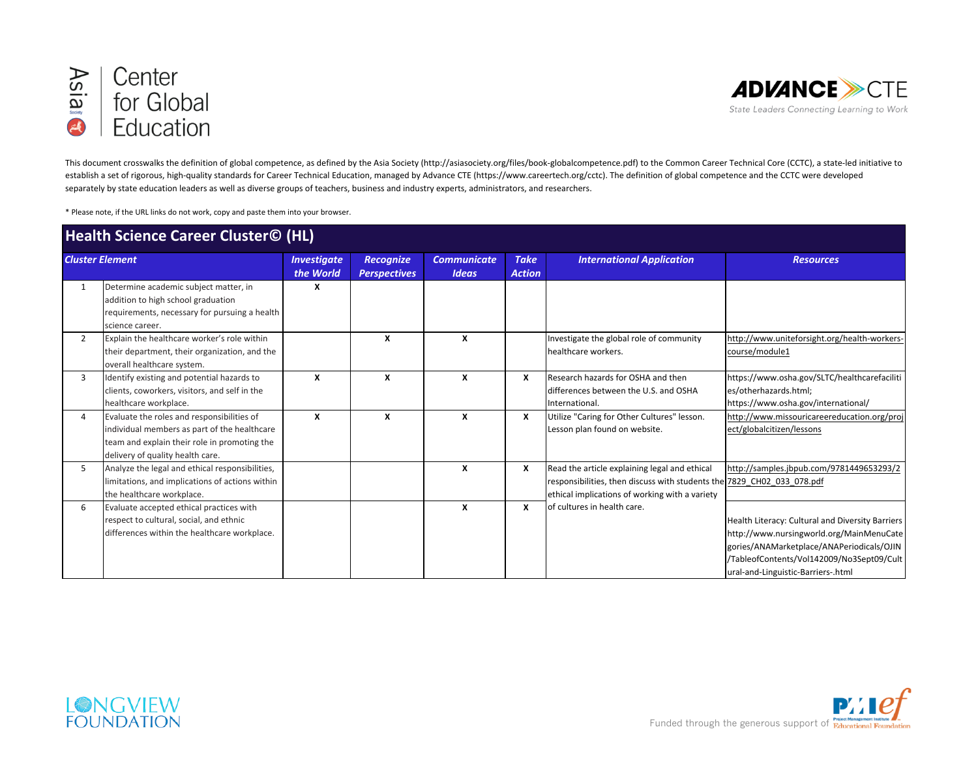



This document crosswalks the definition of global competence, as defined by the Asia Society (http://asiasociety.org/files/book-globalcompetence.pdf) to the Common Career Technical Core (CCTC), a state-led initiative to establish a set of rigorous, high-quality standards for Career Technical Education, managed by Advance CTE (https://www.careertech.org/cctc). The definition of global competence and the CCTC were developed separately by state education leaders as well as diverse groups of teachers, business and industry experts, administrators, and researchers.

\* Please note, if the URL links do not work, copy and paste them into your browser.

| <b>Health Science Career Cluster© (HL)</b> |                                                                                                                                                                                |                                 |                                         |                                    |                              |                                                                                                                                                                           |                                                                                                                                                                                                                              |
|--------------------------------------------|--------------------------------------------------------------------------------------------------------------------------------------------------------------------------------|---------------------------------|-----------------------------------------|------------------------------------|------------------------------|---------------------------------------------------------------------------------------------------------------------------------------------------------------------------|------------------------------------------------------------------------------------------------------------------------------------------------------------------------------------------------------------------------------|
| <b>Cluster Element</b>                     |                                                                                                                                                                                | <b>Investigate</b><br>the World | <b>Recognize</b><br><b>Perspectives</b> | <b>Communicate</b><br><b>Ideas</b> | <b>Take</b><br><b>Action</b> | <b>International Application</b>                                                                                                                                          | <b>Resources</b>                                                                                                                                                                                                             |
| 1                                          | Determine academic subject matter, in<br>addition to high school graduation<br>requirements, necessary for pursuing a health<br>science career.                                | x                               |                                         |                                    |                              |                                                                                                                                                                           |                                                                                                                                                                                                                              |
| $\overline{2}$                             | Explain the healthcare worker's role within<br>their department, their organization, and the<br>overall healthcare system.                                                     |                                 | X                                       | x                                  |                              | Investigate the global role of community<br>healthcare workers.                                                                                                           | http://www.uniteforsight.org/health-workers-<br>course/module1                                                                                                                                                               |
| 3                                          | Identify existing and potential hazards to<br>clients, coworkers, visitors, and self in the<br>healthcare workplace.                                                           | X                               | X                                       | x                                  | x                            | Research hazards for OSHA and then<br>differences between the U.S. and OSHA<br>International.                                                                             | https://www.osha.gov/SLTC/healthcarefaciliti<br>es/otherhazards.html;<br>https://www.osha.gov/international/                                                                                                                 |
| 4                                          | Evaluate the roles and responsibilities of<br>individual members as part of the healthcare<br>team and explain their role in promoting the<br>delivery of quality health care. | X                               | $\boldsymbol{x}$                        | X                                  | x                            | Utilize "Caring for Other Cultures" lesson.<br>Lesson plan found on website.                                                                                              | http://www.missouricareereducation.org/proj<br>ect/globalcitizen/lessons                                                                                                                                                     |
| 5                                          | Analyze the legal and ethical responsibilities,<br>limitations, and implications of actions within<br>the healthcare workplace.                                                |                                 |                                         | X                                  | x                            | Read the article explaining legal and ethical<br>responsibilities, then discuss with students the 7829 CH02 033 078.pdf<br>ethical implications of working with a variety | http://samples.jbpub.com/9781449653293/2                                                                                                                                                                                     |
| 6                                          | Evaluate accepted ethical practices with<br>respect to cultural, social, and ethnic<br>differences within the healthcare workplace.                                            |                                 |                                         | X                                  | x                            | lof cultures in health care.                                                                                                                                              | Health Literacy: Cultural and Diversity Barriers<br>http://www.nursingworld.org/MainMenuCate<br>gories/ANAMarketplace/ANAPeriodicals/OJIN<br>/TableofContents/Vol142009/No3Sept09/Cult<br>ural-and-Linguistic-Barriers-.html |



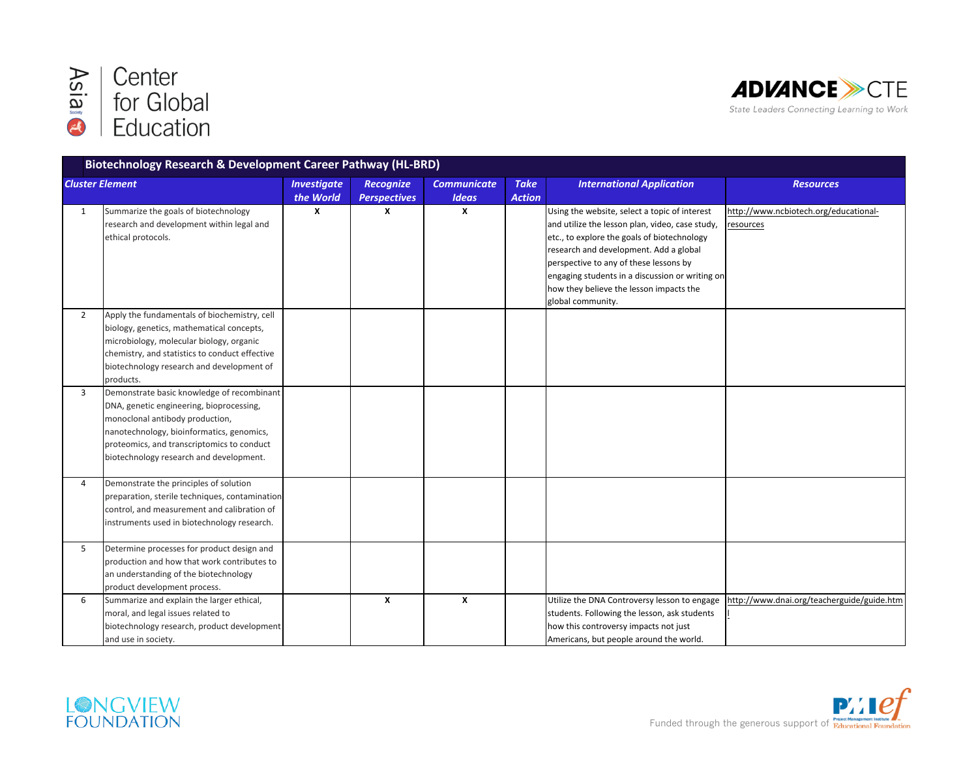



| Biotechnology Research & Development Career Pathway (HL-BRD) |                                                                                                                                                                                                                                                                 |                                 |                                         |                                    |                              |                                                                                                                                                                                                                                                                                                                                                        |                                                    |
|--------------------------------------------------------------|-----------------------------------------------------------------------------------------------------------------------------------------------------------------------------------------------------------------------------------------------------------------|---------------------------------|-----------------------------------------|------------------------------------|------------------------------|--------------------------------------------------------------------------------------------------------------------------------------------------------------------------------------------------------------------------------------------------------------------------------------------------------------------------------------------------------|----------------------------------------------------|
| <b>Cluster Element</b>                                       |                                                                                                                                                                                                                                                                 | <b>Investigate</b><br>the World | <b>Recognize</b><br><b>Perspectives</b> | <b>Communicate</b><br><b>Ideas</b> | <b>Take</b><br><b>Action</b> | <b>International Application</b>                                                                                                                                                                                                                                                                                                                       | <b>Resources</b>                                   |
| 1                                                            | Summarize the goals of biotechnology<br>research and development within legal and<br>ethical protocols.                                                                                                                                                         | X                               | x                                       | X                                  |                              | Using the website, select a topic of interest<br>and utilize the lesson plan, video, case study,<br>etc., to explore the goals of biotechnology<br>research and development. Add a global<br>perspective to any of these lessons by<br>engaging students in a discussion or writing on<br>how they believe the lesson impacts the<br>global community. | http://www.ncbiotech.org/educational-<br>resources |
| $\overline{2}$                                               | Apply the fundamentals of biochemistry, cell<br>biology, genetics, mathematical concepts,<br>microbiology, molecular biology, organic<br>chemistry, and statistics to conduct effective<br>biotechnology research and development of<br>products.               |                                 |                                         |                                    |                              |                                                                                                                                                                                                                                                                                                                                                        |                                                    |
| $\overline{3}$                                               | Demonstrate basic knowledge of recombinant<br>DNA, genetic engineering, bioprocessing,<br>monoclonal antibody production,<br>nanotechnology, bioinformatics, genomics,<br>proteomics, and transcriptomics to conduct<br>biotechnology research and development. |                                 |                                         |                                    |                              |                                                                                                                                                                                                                                                                                                                                                        |                                                    |
| 4                                                            | Demonstrate the principles of solution<br>preparation, sterile techniques, contamination<br>control, and measurement and calibration of<br>instruments used in biotechnology research.                                                                          |                                 |                                         |                                    |                              |                                                                                                                                                                                                                                                                                                                                                        |                                                    |
| 5                                                            | Determine processes for product design and<br>production and how that work contributes to<br>an understanding of the biotechnology<br>product development process.                                                                                              |                                 |                                         |                                    |                              |                                                                                                                                                                                                                                                                                                                                                        |                                                    |
| 6                                                            | Summarize and explain the larger ethical,<br>moral, and legal issues related to<br>biotechnology research, product development<br>and use in society.                                                                                                           |                                 | X                                       | X                                  |                              | Utilize the DNA Controversy lesson to engage<br>students. Following the lesson, ask students<br>how this controversy impacts not just<br>Americans, but people around the world.                                                                                                                                                                       | http://www.dnai.org/teacherguide/guide.htm         |



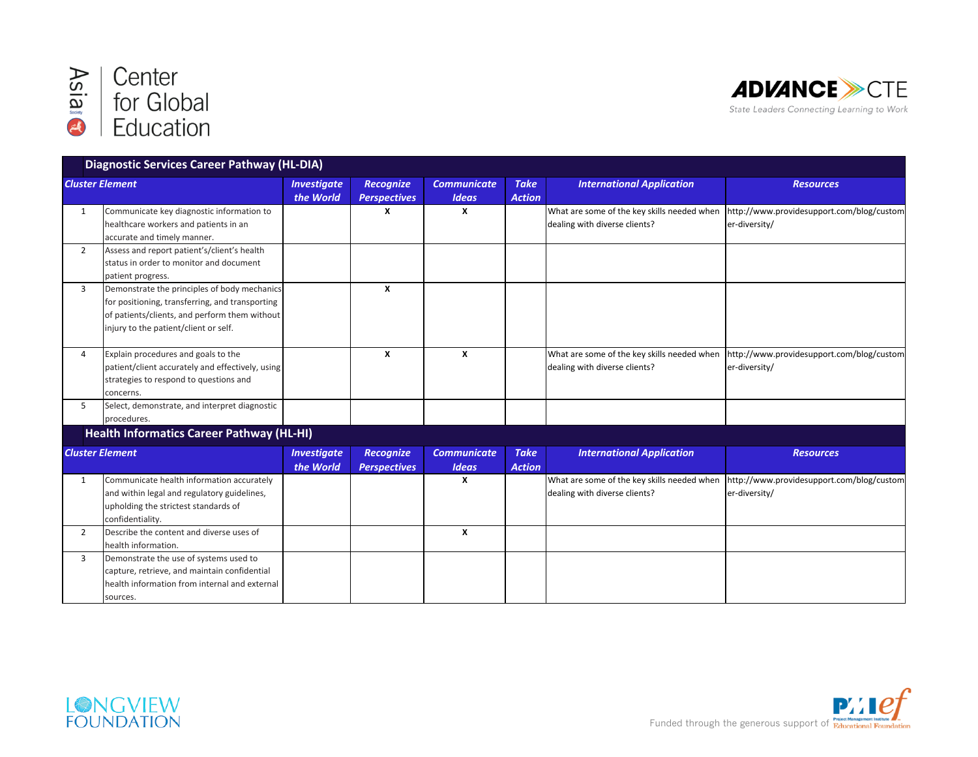



|                        | <b>Diagnostic Services Career Pathway (HL-DIA)</b>                                                                                                                                        |                                 |                                         |                                    |                              |                                                                              |                                                                                                        |
|------------------------|-------------------------------------------------------------------------------------------------------------------------------------------------------------------------------------------|---------------------------------|-----------------------------------------|------------------------------------|------------------------------|------------------------------------------------------------------------------|--------------------------------------------------------------------------------------------------------|
| <b>Cluster Element</b> |                                                                                                                                                                                           | <b>Investigate</b><br>the World | <b>Recognize</b><br><b>Perspectives</b> | <b>Communicate</b><br><b>Ideas</b> | <b>Take</b><br><b>Action</b> | <b>International Application</b>                                             | <b>Resources</b>                                                                                       |
| 1                      | Communicate key diagnostic information to<br>healthcare workers and patients in an<br>accurate and timely manner.                                                                         |                                 | x                                       | x                                  |                              | dealing with diverse clients?                                                | What are some of the key skills needed when http://www.providesupport.com/blog/custom<br>er-diversity/ |
| $\overline{2}$         | Assess and report patient's/client's health<br>status in order to monitor and document<br>patient progress.                                                                               |                                 |                                         |                                    |                              |                                                                              |                                                                                                        |
| 3                      | Demonstrate the principles of body mechanics<br>for positioning, transferring, and transporting<br>of patients/clients, and perform them without<br>injury to the patient/client or self. |                                 | X                                       |                                    |                              |                                                                              |                                                                                                        |
| 4                      | Explain procedures and goals to the<br>patient/client accurately and effectively, using<br>strategies to respond to questions and<br>concerns.                                            |                                 | X                                       | X                                  |                              | What are some of the key skills needed when<br>dealing with diverse clients? | http://www.providesupport.com/blog/custom<br>er-diversity/                                             |
| 5                      | Select, demonstrate, and interpret diagnostic<br>procedures.                                                                                                                              |                                 |                                         |                                    |                              |                                                                              |                                                                                                        |
|                        | <b>Health Informatics Career Pathway (HL-HI)</b>                                                                                                                                          |                                 |                                         |                                    |                              |                                                                              |                                                                                                        |
|                        | <b>Cluster Element</b>                                                                                                                                                                    | <b>Investigate</b><br>the World | Recognize<br><b>Perspectives</b>        | <b>Communicate</b><br><b>Ideas</b> | <b>Take</b><br><b>Action</b> | <b>International Application</b>                                             | <b>Resources</b>                                                                                       |
| $\mathbf{1}$           | Communicate health information accurately<br>and within legal and regulatory guidelines,<br>upholding the strictest standards of<br>confidentiality.                                      |                                 |                                         | X                                  |                              | What are some of the key skills needed when<br>dealing with diverse clients? | http://www.providesupport.com/blog/custom<br>er-diversity/                                             |
| $\overline{2}$         | Describe the content and diverse uses of<br>health information.                                                                                                                           |                                 |                                         | $\mathbf{x}$                       |                              |                                                                              |                                                                                                        |
| 3                      | Demonstrate the use of systems used to<br>capture, retrieve, and maintain confidential<br>health information from internal and external<br>sources.                                       |                                 |                                         |                                    |                              |                                                                              |                                                                                                        |